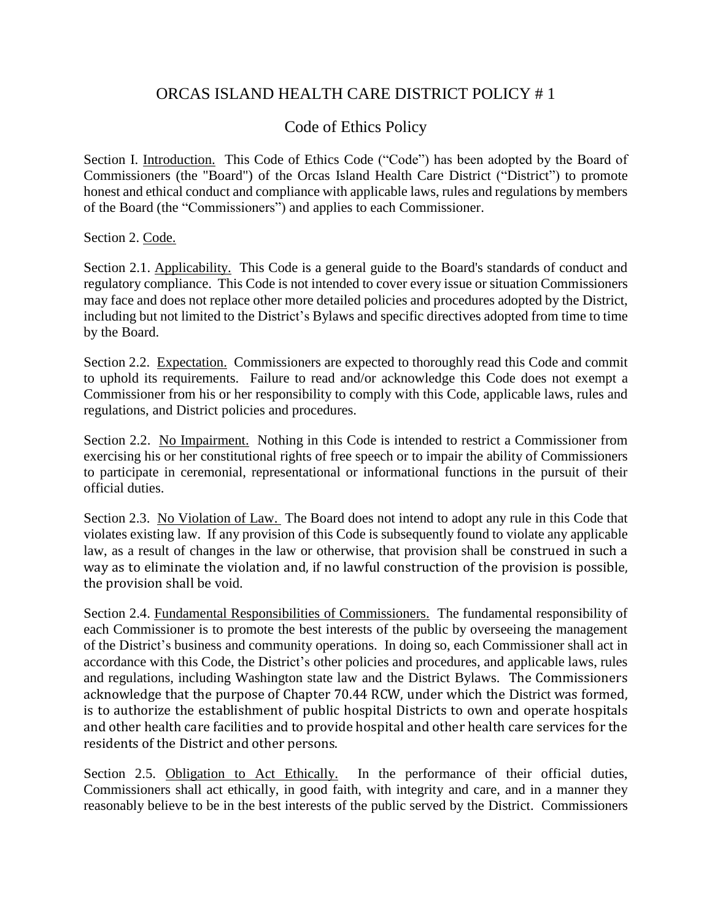# ORCAS ISLAND HEALTH CARE DISTRICT POLICY # 1

## Code of Ethics Policy

Section I. Introduction. This Code of Ethics Code ("Code") has been adopted by the Board of Commissioners (the "Board") of the Orcas Island Health Care District ("District") to promote honest and ethical conduct and compliance with applicable laws, rules and regulations by members of the Board (the "Commissioners") and applies to each Commissioner.

Section 2. Code.

Section 2.1. Applicability. This Code is a general guide to the Board's standards of conduct and regulatory compliance. This Code is not intended to cover every issue or situation Commissioners may face and does not replace other more detailed policies and procedures adopted by the District, including but not limited to the District's Bylaws and specific directives adopted from time to time by the Board.

Section 2.2. Expectation. Commissioners are expected to thoroughly read this Code and commit to uphold its requirements. Failure to read and/or acknowledge this Code does not exempt a Commissioner from his or her responsibility to comply with this Code, applicable laws, rules and regulations, and District policies and procedures.

Section 2.2. No Impairment. Nothing in this Code is intended to restrict a Commissioner from exercising his or her constitutional rights of free speech or to impair the ability of Commissioners to participate in ceremonial, representational or informational functions in the pursuit of their official duties.

Section 2.3. No Violation of Law. The Board does not intend to adopt any rule in this Code that violates existing law. If any provision of this Code is subsequently found to violate any applicable law, as a result of changes in the law or otherwise, that provision shall be construed in such a way as to eliminate the violation and, if no lawful construction of the provision is possible, the provision shall be void.

Section 2.4. Fundamental Responsibilities of Commissioners. The fundamental responsibility of each Commissioner is to promote the best interests of the public by overseeing the management of the District's business and community operations. In doing so, each Commissioner shall act in accordance with this Code, the District's other policies and procedures, and applicable laws, rules and regulations, including Washington state law and the District Bylaws. The Commissioners acknowledge that the purpose of Chapter 70.44 RCW, under which the District was formed, is to authorize the establishment of public hospital Districts to own and operate hospitals and other health care facilities and to provide hospital and other health care services for the residents of the District and other persons.

Section 2.5. Obligation to Act Ethically. In the performance of their official duties, Commissioners shall act ethically, in good faith, with integrity and care, and in a manner they reasonably believe to be in the best interests of the public served by the District. Commissioners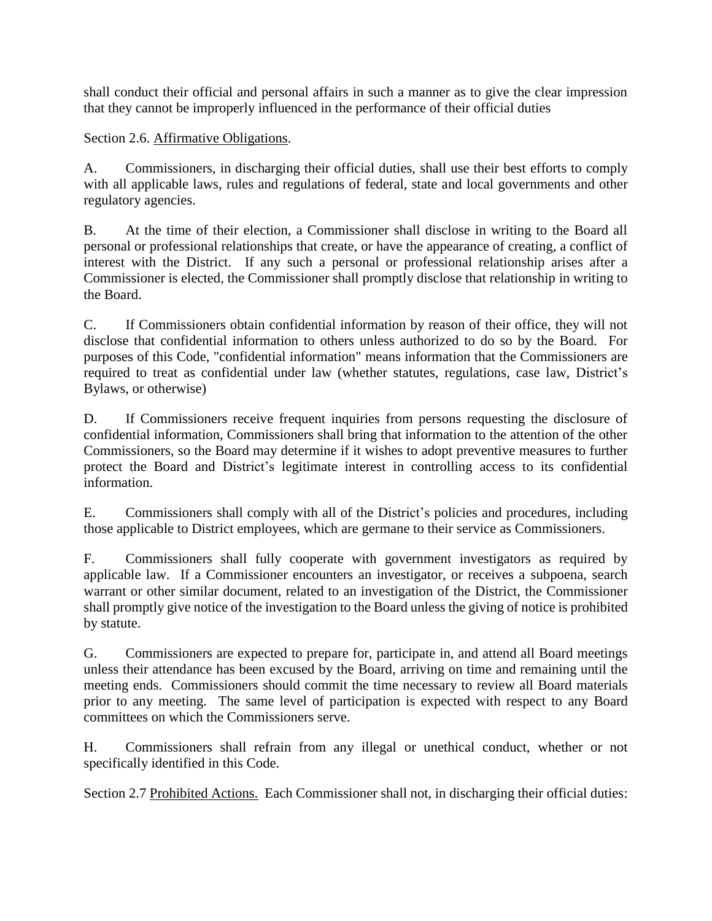shall conduct their official and personal affairs in such a manner as to give the clear impression that they cannot be improperly influenced in the performance of their official duties

Section 2.6. Affirmative Obligations.

A. Commissioners, in discharging their official duties, shall use their best efforts to comply with all applicable laws, rules and regulations of federal, state and local governments and other regulatory agencies.

B. At the time of their election, a Commissioner shall disclose in writing to the Board all personal or professional relationships that create, or have the appearance of creating, a conflict of interest with the District. If any such a personal or professional relationship arises after a Commissioner is elected, the Commissioner shall promptly disclose that relationship in writing to the Board.

C. If Commissioners obtain confidential information by reason of their office, they will not disclose that confidential information to others unless authorized to do so by the Board. For purposes of this Code, "confidential information" means information that the Commissioners are required to treat as confidential under law (whether statutes, regulations, case law, District's Bylaws, or otherwise)

D. If Commissioners receive frequent inquiries from persons requesting the disclosure of confidential information, Commissioners shall bring that information to the attention of the other Commissioners, so the Board may determine if it wishes to adopt preventive measures to further protect the Board and District's legitimate interest in controlling access to its confidential information.

E. Commissioners shall comply with all of the District's policies and procedures, including those applicable to District employees, which are germane to their service as Commissioners.

F. Commissioners shall fully cooperate with government investigators as required by applicable law. If a Commissioner encounters an investigator, or receives a subpoena, search warrant or other similar document, related to an investigation of the District, the Commissioner shall promptly give notice of the investigation to the Board unless the giving of notice is prohibited by statute.

G. Commissioners are expected to prepare for, participate in, and attend all Board meetings unless their attendance has been excused by the Board, arriving on time and remaining until the meeting ends. Commissioners should commit the time necessary to review all Board materials prior to any meeting. The same level of participation is expected with respect to any Board committees on which the Commissioners serve.

H. Commissioners shall refrain from any illegal or unethical conduct, whether or not specifically identified in this Code.

Section 2.7 Prohibited Actions. Each Commissioner shall not, in discharging their official duties: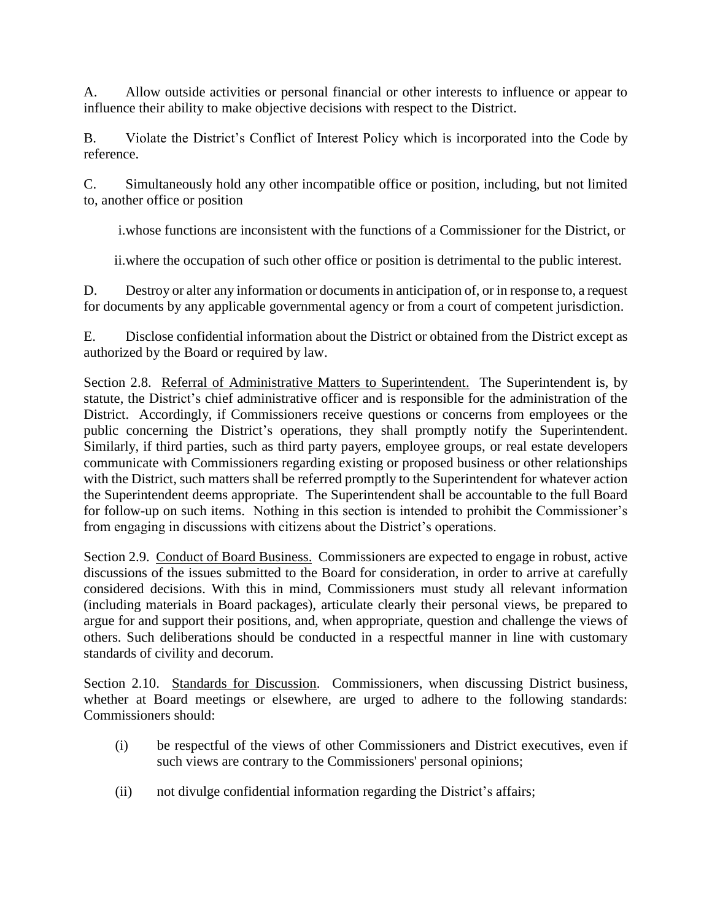A. Allow outside activities or personal financial or other interests to influence or appear to influence their ability to make objective decisions with respect to the District.

B. Violate the District's Conflict of Interest Policy which is incorporated into the Code by reference.

C. Simultaneously hold any other incompatible office or position, including, but not limited to, another office or position

i.whose functions are inconsistent with the functions of a Commissioner for the District, or

ii.where the occupation of such other office or position is detrimental to the public interest.

D. Destroy or alter any information or documents in anticipation of, or in response to, a request for documents by any applicable governmental agency or from a court of competent jurisdiction.

E. Disclose confidential information about the District or obtained from the District except as authorized by the Board or required by law.

Section 2.8. Referral of Administrative Matters to Superintendent. The Superintendent is, by statute, the District's chief administrative officer and is responsible for the administration of the District. Accordingly, if Commissioners receive questions or concerns from employees or the public concerning the District's operations, they shall promptly notify the Superintendent. Similarly, if third parties, such as third party payers, employee groups, or real estate developers communicate with Commissioners regarding existing or proposed business or other relationships with the District, such matters shall be referred promptly to the Superintendent for whatever action the Superintendent deems appropriate. The Superintendent shall be accountable to the full Board for follow-up on such items. Nothing in this section is intended to prohibit the Commissioner's from engaging in discussions with citizens about the District's operations.

Section 2.9. Conduct of Board Business. Commissioners are expected to engage in robust, active discussions of the issues submitted to the Board for consideration, in order to arrive at carefully considered decisions. With this in mind, Commissioners must study all relevant information (including materials in Board packages), articulate clearly their personal views, be prepared to argue for and support their positions, and, when appropriate, question and challenge the views of others. Such deliberations should be conducted in a respectful manner in line with customary standards of civility and decorum.

Section 2.10. Standards for Discussion. Commissioners, when discussing District business, whether at Board meetings or elsewhere, are urged to adhere to the following standards: Commissioners should:

- (i) be respectful of the views of other Commissioners and District executives, even if such views are contrary to the Commissioners' personal opinions;
- (ii) not divulge confidential information regarding the District's affairs;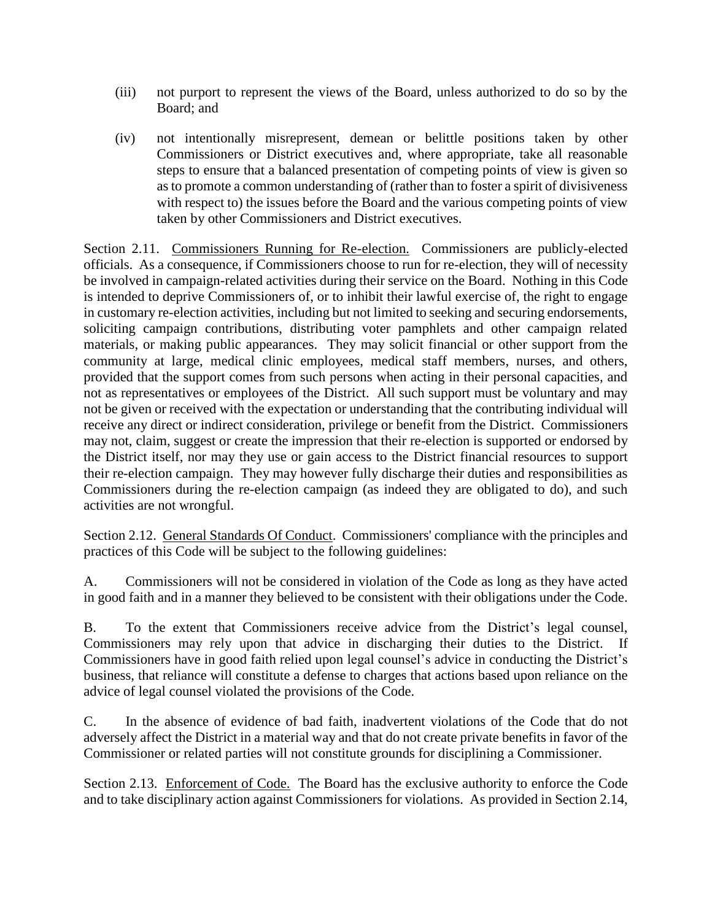- (iii) not purport to represent the views of the Board, unless authorized to do so by the Board; and
- (iv) not intentionally misrepresent, demean or belittle positions taken by other Commissioners or District executives and, where appropriate, take all reasonable steps to ensure that a balanced presentation of competing points of view is given so as to promote a common understanding of (rather than to foster a spirit of divisiveness with respect to) the issues before the Board and the various competing points of view taken by other Commissioners and District executives.

Section 2.11. Commissioners Running for Re-election. Commissioners are publicly-elected officials. As a consequence, if Commissioners choose to run for re-election, they will of necessity be involved in campaign-related activities during their service on the Board. Nothing in this Code is intended to deprive Commissioners of, or to inhibit their lawful exercise of, the right to engage in customary re-election activities, including but not limited to seeking and securing endorsements, soliciting campaign contributions, distributing voter pamphlets and other campaign related materials, or making public appearances. They may solicit financial or other support from the community at large, medical clinic employees, medical staff members, nurses, and others, provided that the support comes from such persons when acting in their personal capacities, and not as representatives or employees of the District. All such support must be voluntary and may not be given or received with the expectation or understanding that the contributing individual will receive any direct or indirect consideration, privilege or benefit from the District. Commissioners may not, claim, suggest or create the impression that their re-election is supported or endorsed by the District itself, nor may they use or gain access to the District financial resources to support their re-election campaign. They may however fully discharge their duties and responsibilities as Commissioners during the re-election campaign (as indeed they are obligated to do), and such activities are not wrongful.

Section 2.12. General Standards Of Conduct. Commissioners' compliance with the principles and practices of this Code will be subject to the following guidelines:

A. Commissioners will not be considered in violation of the Code as long as they have acted in good faith and in a manner they believed to be consistent with their obligations under the Code.

B. To the extent that Commissioners receive advice from the District's legal counsel, Commissioners may rely upon that advice in discharging their duties to the District. If Commissioners have in good faith relied upon legal counsel's advice in conducting the District's business, that reliance will constitute a defense to charges that actions based upon reliance on the advice of legal counsel violated the provisions of the Code.

C. In the absence of evidence of bad faith, inadvertent violations of the Code that do not adversely affect the District in a material way and that do not create private benefits in favor of the Commissioner or related parties will not constitute grounds for disciplining a Commissioner.

Section 2.13. Enforcement of Code. The Board has the exclusive authority to enforce the Code and to take disciplinary action against Commissioners for violations. As provided in Section 2.14,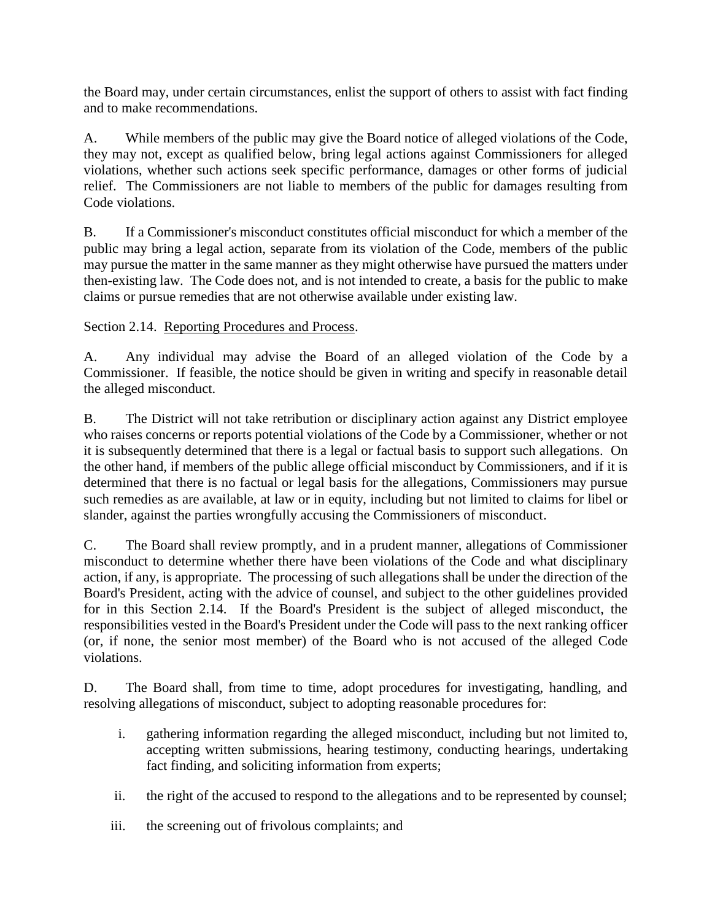the Board may, under certain circumstances, enlist the support of others to assist with fact finding and to make recommendations.

A. While members of the public may give the Board notice of alleged violations of the Code, they may not, except as qualified below, bring legal actions against Commissioners for alleged violations, whether such actions seek specific performance, damages or other forms of judicial relief. The Commissioners are not liable to members of the public for damages resulting from Code violations.

B. If a Commissioner's misconduct constitutes official misconduct for which a member of the public may bring a legal action, separate from its violation of the Code, members of the public may pursue the matter in the same manner as they might otherwise have pursued the matters under then-existing law. The Code does not, and is not intended to create, a basis for the public to make claims or pursue remedies that are not otherwise available under existing law.

Section 2.14. Reporting Procedures and Process.

A. Any individual may advise the Board of an alleged violation of the Code by a Commissioner. If feasible, the notice should be given in writing and specify in reasonable detail the alleged misconduct.

B. The District will not take retribution or disciplinary action against any District employee who raises concerns or reports potential violations of the Code by a Commissioner, whether or not it is subsequently determined that there is a legal or factual basis to support such allegations. On the other hand, if members of the public allege official misconduct by Commissioners, and if it is determined that there is no factual or legal basis for the allegations, Commissioners may pursue such remedies as are available, at law or in equity, including but not limited to claims for libel or slander, against the parties wrongfully accusing the Commissioners of misconduct.

C. The Board shall review promptly, and in a prudent manner, allegations of Commissioner misconduct to determine whether there have been violations of the Code and what disciplinary action, if any, is appropriate. The processing of such allegations shall be under the direction of the Board's President, acting with the advice of counsel, and subject to the other guidelines provided for in this Section 2.14. If the Board's President is the subject of alleged misconduct, the responsibilities vested in the Board's President under the Code will pass to the next ranking officer (or, if none, the senior most member) of the Board who is not accused of the alleged Code violations.

D. The Board shall, from time to time, adopt procedures for investigating, handling, and resolving allegations of misconduct, subject to adopting reasonable procedures for:

- i. gathering information regarding the alleged misconduct, including but not limited to, accepting written submissions, hearing testimony, conducting hearings, undertaking fact finding, and soliciting information from experts;
- ii. the right of the accused to respond to the allegations and to be represented by counsel;
- iii. the screening out of frivolous complaints; and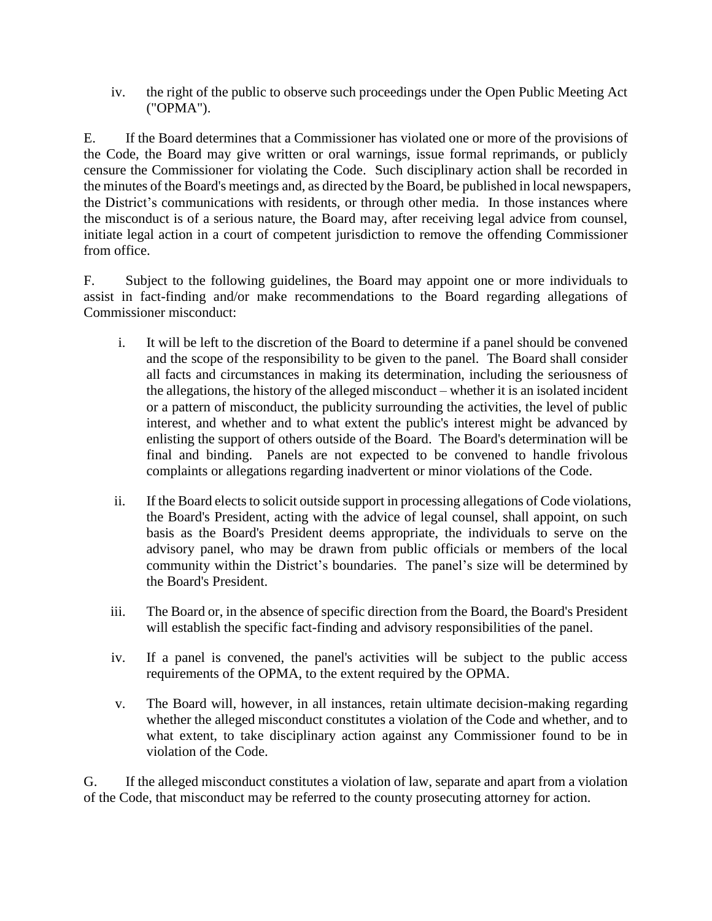iv. the right of the public to observe such proceedings under the Open Public Meeting Act ("OPMA").

E. If the Board determines that a Commissioner has violated one or more of the provisions of the Code, the Board may give written or oral warnings, issue formal reprimands, or publicly censure the Commissioner for violating the Code. Such disciplinary action shall be recorded in the minutes of the Board's meetings and, as directed by the Board, be published in local newspapers, the District's communications with residents, or through other media. In those instances where the misconduct is of a serious nature, the Board may, after receiving legal advice from counsel, initiate legal action in a court of competent jurisdiction to remove the offending Commissioner from office.

F. Subject to the following guidelines, the Board may appoint one or more individuals to assist in fact-finding and/or make recommendations to the Board regarding allegations of Commissioner misconduct:

- i. It will be left to the discretion of the Board to determine if a panel should be convened and the scope of the responsibility to be given to the panel. The Board shall consider all facts and circumstances in making its determination, including the seriousness of the allegations, the history of the alleged misconduct – whether it is an isolated incident or a pattern of misconduct, the publicity surrounding the activities, the level of public interest, and whether and to what extent the public's interest might be advanced by enlisting the support of others outside of the Board. The Board's determination will be final and binding. Panels are not expected to be convened to handle frivolous complaints or allegations regarding inadvertent or minor violations of the Code.
- ii. If the Board elects to solicit outside support in processing allegations of Code violations, the Board's President, acting with the advice of legal counsel, shall appoint, on such basis as the Board's President deems appropriate, the individuals to serve on the advisory panel, who may be drawn from public officials or members of the local community within the District's boundaries. The panel's size will be determined by the Board's President.
- iii. The Board or, in the absence of specific direction from the Board, the Board's President will establish the specific fact-finding and advisory responsibilities of the panel.
- iv. If a panel is convened, the panel's activities will be subject to the public access requirements of the OPMA, to the extent required by the OPMA.
- v. The Board will, however, in all instances, retain ultimate decision-making regarding whether the alleged misconduct constitutes a violation of the Code and whether, and to what extent, to take disciplinary action against any Commissioner found to be in violation of the Code.

G. If the alleged misconduct constitutes a violation of law, separate and apart from a violation of the Code, that misconduct may be referred to the county prosecuting attorney for action.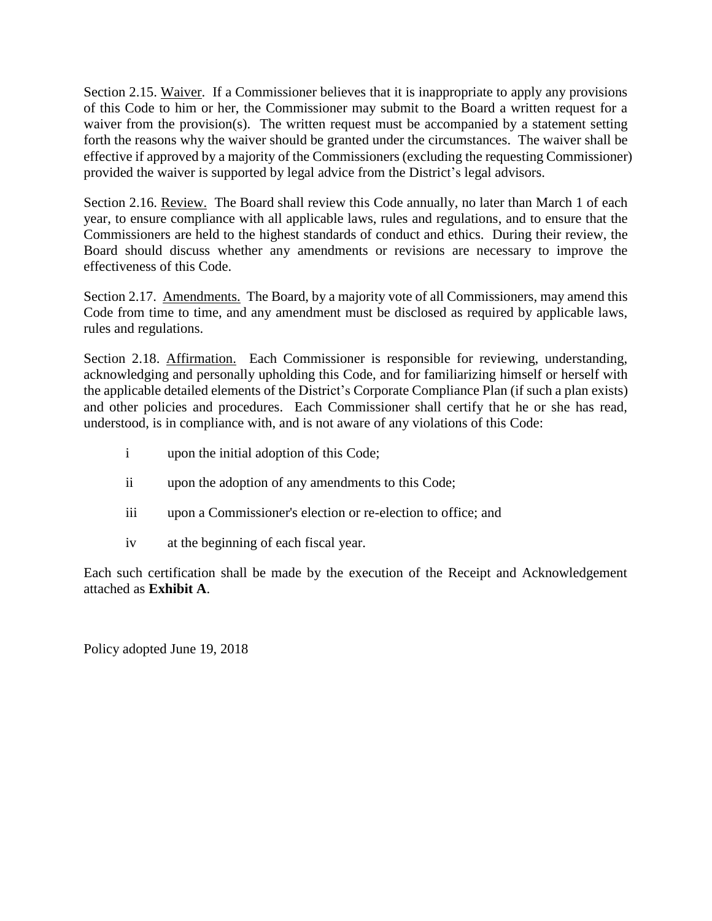Section 2.15. Waiver. If a Commissioner believes that it is inappropriate to apply any provisions of this Code to him or her, the Commissioner may submit to the Board a written request for a waiver from the provision(s). The written request must be accompanied by a statement setting forth the reasons why the waiver should be granted under the circumstances. The waiver shall be effective if approved by a majority of the Commissioners (excluding the requesting Commissioner) provided the waiver is supported by legal advice from the District's legal advisors.

Section 2.16. Review. The Board shall review this Code annually, no later than March 1 of each year, to ensure compliance with all applicable laws, rules and regulations, and to ensure that the Commissioners are held to the highest standards of conduct and ethics. During their review, the Board should discuss whether any amendments or revisions are necessary to improve the effectiveness of this Code.

Section 2.17. Amendments. The Board, by a majority vote of all Commissioners, may amend this Code from time to time, and any amendment must be disclosed as required by applicable laws, rules and regulations.

Section 2.18. Affirmation. Each Commissioner is responsible for reviewing, understanding, acknowledging and personally upholding this Code, and for familiarizing himself or herself with the applicable detailed elements of the District's Corporate Compliance Plan (if such a plan exists) and other policies and procedures. Each Commissioner shall certify that he or she has read, understood, is in compliance with, and is not aware of any violations of this Code:

- i upon the initial adoption of this Code;
- ii upon the adoption of any amendments to this Code;
- iii upon a Commissioner's election or re-election to office; and
- iv at the beginning of each fiscal year.

Each such certification shall be made by the execution of the Receipt and Acknowledgement attached as **Exhibit A**.

Policy adopted June 19, 2018